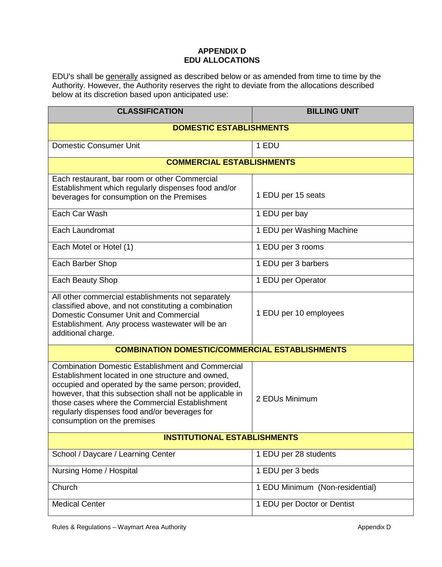## **APPENDIX D EDU ALLOCATIONS**

EDU's shall be generally assigned as described below or as amended from time to time by the Authority. However, the Authority reserves the right to deviate from the allocations described below at its discretion based upon anticipated use:

| <b>CLASSIFICATION</b>                                                                                                                                                                                                                                                                                                                                              | <b>BILLING UNIT</b>             |
|--------------------------------------------------------------------------------------------------------------------------------------------------------------------------------------------------------------------------------------------------------------------------------------------------------------------------------------------------------------------|---------------------------------|
| <b>DOMESTIC ESTABLISHMENTS</b>                                                                                                                                                                                                                                                                                                                                     |                                 |
| <b>Domestic Consumer Unit</b>                                                                                                                                                                                                                                                                                                                                      | 1 EDU                           |
| <b>COMMERCIAL ESTABLISHMENTS</b>                                                                                                                                                                                                                                                                                                                                   |                                 |
| Each restaurant, bar room or other Commercial<br>Establishment which regularly dispenses food and/or<br>beverages for consumption on the Premises                                                                                                                                                                                                                  | 1 EDU per 15 seats              |
| Each Car Wash                                                                                                                                                                                                                                                                                                                                                      | 1 EDU per bay                   |
| Each Laundromat                                                                                                                                                                                                                                                                                                                                                    | 1 EDU per Washing Machine       |
| Each Motel or Hotel (1)                                                                                                                                                                                                                                                                                                                                            | 1 EDU per 3 rooms               |
| Each Barber Shop                                                                                                                                                                                                                                                                                                                                                   | 1 EDU per 3 barbers             |
| Each Beauty Shop                                                                                                                                                                                                                                                                                                                                                   | 1 EDU per Operator              |
| All other commercial establishments not separately<br>classified above, and not constituting a combination<br>Domestic Consumer Unit and Commercial<br>Establishment. Any process wastewater will be an<br>additional charge.                                                                                                                                      | 1 EDU per 10 employees          |
| <b>COMBINATION DOMESTIC/COMMERCIAL ESTABLISHMENTS</b>                                                                                                                                                                                                                                                                                                              |                                 |
| <b>Combination Domestic Establishment and Commercial</b><br>Establishment located in one structure and owned,<br>occupied and operated by the same person; provided,<br>however, that this subsection shall not be applicable in<br>those cases where the Commercial Establishment<br>regularly dispenses food and/or beverages for<br>consumption on the premises | 2 EDUs Minimum                  |
| <b>INSTITUTIONAL ESTABLISHMENTS</b>                                                                                                                                                                                                                                                                                                                                |                                 |
| School / Daycare / Learning Center                                                                                                                                                                                                                                                                                                                                 | 1 EDU per 28 students           |
| Nursing Home / Hospital                                                                                                                                                                                                                                                                                                                                            | 1 EDU per 3 beds                |
| Church                                                                                                                                                                                                                                                                                                                                                             | 1 EDU Minimum (Non-residential) |
| <b>Medical Center</b>                                                                                                                                                                                                                                                                                                                                              | 1 EDU per Doctor or Dentist     |